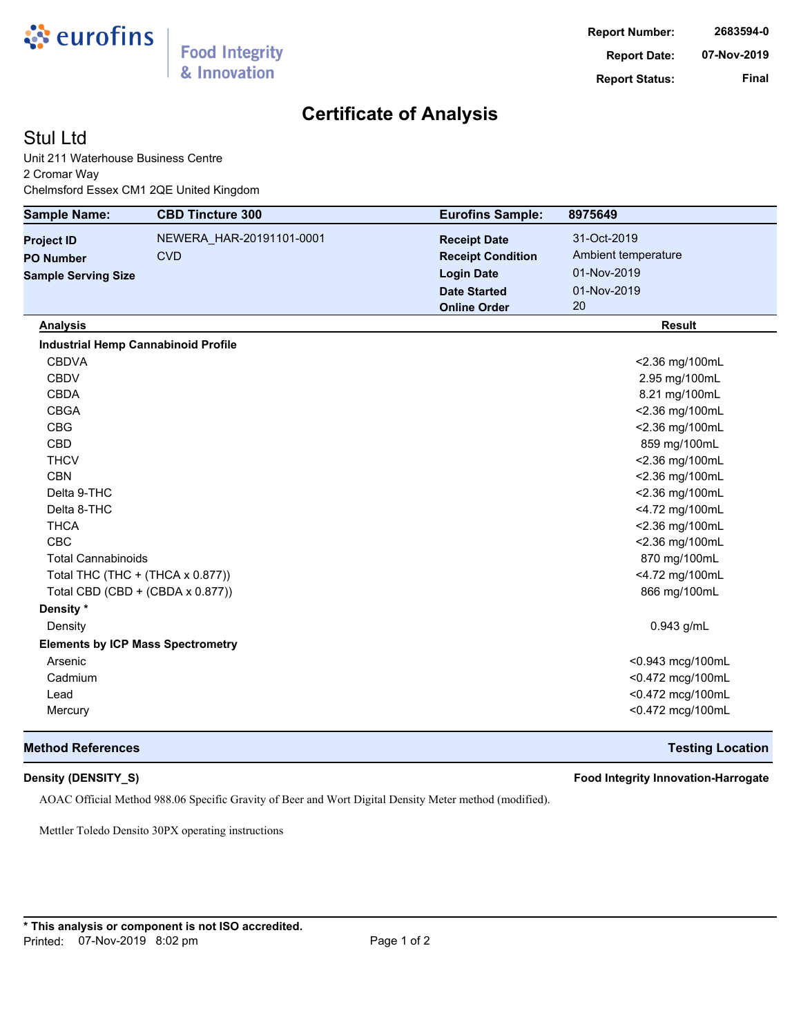

# **Certificate of Analysis**

## Stul Ltd

Unit 211 Waterhouse Business Centre 2 Cromar Way Chelmsford Essex CM1 2QE United Kingdom

| <b>Sample Name:</b>        | <b>CBD Tincture 300</b>                    | <b>Eurofins Sample:</b>  | 8975649             |
|----------------------------|--------------------------------------------|--------------------------|---------------------|
| <b>Project ID</b>          | NEWERA_HAR-20191101-0001                   | <b>Receipt Date</b>      | 31-Oct-2019         |
| <b>PO Number</b>           | <b>CVD</b>                                 | <b>Receipt Condition</b> | Ambient temperature |
| <b>Sample Serving Size</b> |                                            | <b>Login Date</b>        | 01-Nov-2019         |
|                            |                                            | <b>Date Started</b>      | 01-Nov-2019         |
|                            |                                            | <b>Online Order</b>      | 20                  |
| <b>Analysis</b>            |                                            |                          | <b>Result</b>       |
|                            | <b>Industrial Hemp Cannabinoid Profile</b> |                          |                     |
| <b>CBDVA</b>               |                                            |                          | <2.36 mg/100mL      |
| <b>CBDV</b>                |                                            |                          | 2.95 mg/100mL       |
| <b>CBDA</b>                |                                            |                          | 8.21 mg/100mL       |
| <b>CBGA</b>                |                                            |                          | <2.36 mg/100mL      |
| <b>CBG</b>                 |                                            |                          | <2.36 mg/100mL      |
| <b>CBD</b>                 |                                            |                          | 859 mg/100mL        |
| <b>THCV</b>                |                                            |                          | <2.36 mg/100mL      |
| <b>CBN</b>                 |                                            |                          | <2.36 mg/100mL      |
| Delta 9-THC                |                                            |                          | <2.36 mg/100mL      |
| Delta 8-THC                |                                            |                          | <4.72 mg/100mL      |
| <b>THCA</b>                |                                            |                          | <2.36 mg/100mL      |
| <b>CBC</b>                 |                                            |                          | <2.36 mg/100mL      |
| <b>Total Cannabinoids</b>  |                                            |                          | 870 mg/100mL        |
|                            | Total THC (THC + (THCA x 0.877))           |                          | <4.72 mg/100mL      |
|                            | Total CBD (CBD + (CBDA x 0.877))           |                          | 866 mg/100mL        |
| Density *                  |                                            |                          |                     |
| Density                    |                                            |                          | 0.943 g/mL          |
|                            | <b>Elements by ICP Mass Spectrometry</b>   |                          |                     |
| Arsenic                    |                                            |                          | <0.943 mcg/100mL    |
| Cadmium                    |                                            |                          | <0.472 mcg/100mL    |
| Lead                       |                                            |                          | <0.472 mcg/100mL    |
| Mercury                    |                                            |                          | <0.472 mcg/100mL    |

### **Method References Testing Location**

**Density (DENSITY\_S) Food Integrity Innovation-Harrogate**

AOAC Official Method 988.06 Specific Gravity of Beer and Wort Digital Density Meter method (modified).

Mettler Toledo Densito 30PX operating instructions